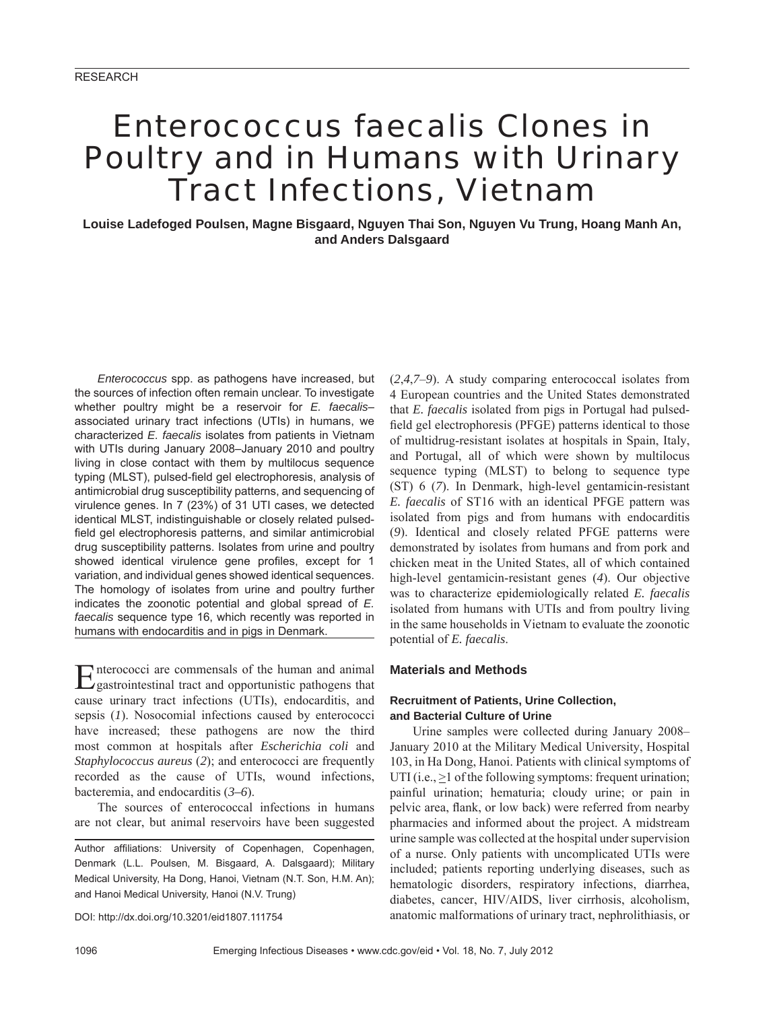# *Enterococcus faecalis* Clones in Poultry and in Humans with Urinary Tract Infections, Vietnam

**Louise Ladefoged Poulsen, Magne Bisgaard, Nguyen Thai Son, Nguyen Vu Trung, Hoang Manh An, and Anders Dalsgaard**

*Enterococcus* spp. as pathogens have increased, but the sources of infection often remain unclear. To investigate whether poultry might be a reservoir for *E. faecalis*– associated urinary tract infections (UTIs) in humans, we characterized *E. faecalis* isolates from patients in Vietnam with UTIs during January 2008–January 2010 and poultry living in close contact with them by multilocus sequence typing (MLST), pulsed-field gel electrophoresis, analysis of antimicrobial drug susceptibility patterns, and sequencing of virulence genes. In 7 (23%) of 31 UTI cases, we detected identical MLST, indistinguishable or closely related pulsedfield gel electrophoresis patterns, and similar antimicrobial drug susceptibility patterns. Isolates from urine and poultry showed identical virulence gene profiles, except for 1 variation, and individual genes showed identical sequences. The homology of isolates from urine and poultry further indicates the zoonotic potential and global spread of *E. faecalis* sequence type 16, which recently was reported in humans with endocarditis and in pigs in Denmark.

Enterococci are commensals of the human and animal gastrointestinal tract and opportunistic pathogens that cause urinary tract infections (UTIs), endocarditis, and sepsis (*1*). Nosocomial infections caused by enterococci have increased; these pathogens are now the third most common at hospitals after *Escherichia coli* and *Staphylococcus aureus* (*2*); and enterococci are frequently recorded as the cause of UTIs, wound infections, bacteremia, and endocarditis (*3–6*).

The sources of enterococcal infections in humans are not clear, but animal reservoirs have been suggested

Author affiliations: University of Copenhagen, Copenhagen, Denmark (L.L. Poulsen, M. Bisgaard, A. Dalsgaard); Military Medical University, Ha Dong, Hanoi, Vietnam (N.T. Son, H.M. An); and Hanoi Medical University, Hanoi (N.V. Trung)

DOI: http://dx.doi.org/10.3201/eid1807.111754

(*2*,*4*,*7*–*9*). A study comparing enterococcal isolates from 4 European countries and the United States demonstrated that *E. faecalis* isolated from pigs in Portugal had pulsedfield gel electrophoresis (PFGE) patterns identical to those of multidrug-resistant isolates at hospitals in Spain, Italy, and Portugal, all of which were shown by multilocus sequence typing (MLST) to belong to sequence type (ST) 6 (*7*). In Denmark, high-level gentamicin-resistant *E. faecalis* of ST16 with an identical PFGE pattern was isolated from pigs and from humans with endocarditis (*9*). Identical and closely related PFGE patterns were demonstrated by isolates from humans and from pork and chicken meat in the United States, all of which contained high-level gentamicin-resistant genes (*4*). Our objective was to characterize epidemiologically related *E. faecalis* isolated from humans with UTIs and from poultry living in the same households in Vietnam to evaluate the zoonotic potential of *E. faecalis*.

#### **Materials and Methods**

## **Recruitment of Patients, Urine Collection, and Bacterial Culture of Urine**

Urine samples were collected during January 2008– January 2010 at the Military Medical University, Hospital 103, in Ha Dong, Hanoi. Patients with clinical symptoms of UTI (i.e.,  $>1$  of the following symptoms: frequent urination; painful urination; hematuria; cloudy urine; or pain in pelvic area, flank, or low back) were referred from nearby pharmacies and informed about the project. A midstream urine sample was collected at the hospital under supervision of a nurse. Only patients with uncomplicated UTIs were included; patients reporting underlying diseases, such as hematologic disorders, respiratory infections, diarrhea, diabetes, cancer, HIV/AIDS, liver cirrhosis, alcoholism, anatomic malformations of urinary tract, nephrolithiasis, or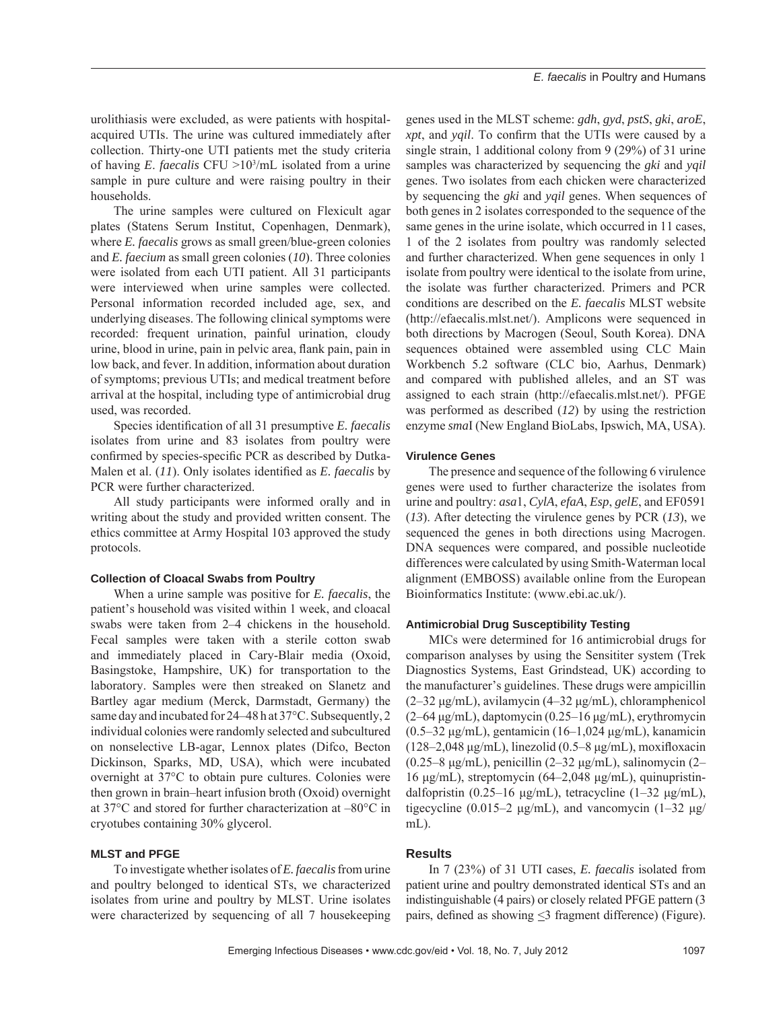urolithiasis were excluded, as were patients with hospitalacquired UTIs. The urine was cultured immediately after collection. Thirty-one UTI patients met the study criteria of having *E*. *faecalis* CFU >103 /mL isolated from a urine sample in pure culture and were raising poultry in their households.

The urine samples were cultured on Flexicult agar plates (Statens Serum Institut, Copenhagen, Denmark), where *E. faecalis* grows as small green/blue-green colonies and *E. faecium* as small green colonies (*10*). Three colonies were isolated from each UTI patient. All 31 participants were interviewed when urine samples were collected. Personal information recorded included age, sex, and underlying diseases. The following clinical symptoms were recorded: frequent urination, painful urination, cloudy urine, blood in urine, pain in pelvic area, flank pain, pain in low back, and fever. In addition, information about duration of symptoms; previous UTIs; and medical treatment before arrival at the hospital, including type of antimicrobial drug used, was recorded.

Species identification of all 31 presumptive *E. faecalis* isolates from urine and 83 isolates from poultry were confirmed by species-specific PCR as described by Dutka-Malen et al. (11). Only isolates identified as *E. faecalis* by PCR were further characterized.

All study participants were informed orally and in writing about the study and provided written consent. The ethics committee at Army Hospital 103 approved the study protocols.

#### **Collection of Cloacal Swabs from Poultry**

When a urine sample was positive for *E. faecalis*, the patient's household was visited within 1 week, and cloacal swabs were taken from 2–4 chickens in the household. Fecal samples were taken with a sterile cotton swab and immediately placed in Cary-Blair media (Oxoid, Basingstoke, Hampshire, UK) for transportation to the laboratory. Samples were then streaked on Slanetz and Bartley agar medium (Merck, Darmstadt, Germany) the same day and incubated for 24–48 h at 37°C. Subsequently, 2 individual colonies were randomly selected and subcultured on nonselective LB-agar, Lennox plates (Difco, Becton Dickinson, Sparks, MD, USA), which were incubated overnight at 37°C to obtain pure cultures. Colonies were then grown in brain–heart infusion broth (Oxoid) overnight at 37°C and stored for further characterization at –80°C in cryotubes containing 30% glycerol.

## **MLST and PFGE**

To investigate whether isolates of *E. faecalis* from urine and poultry belonged to identical STs, we characterized isolates from urine and poultry by MLST. Urine isolates were characterized by sequencing of all 7 housekeeping genes used in the MLST scheme: *gdh*, *gyd*, *pstS*, *gki*, *aroE*, *xpt*, and *yqil*. To confirm that the UTIs were caused by a single strain, 1 additional colony from 9 (29%) of 31 urine samples was characterized by sequencing the *gki* and *yqil* genes. Two isolates from each chicken were characterized by sequencing the *gki* and *yqil* genes. When sequences of both genes in 2 isolates corresponded to the sequence of the same genes in the urine isolate, which occurred in 11 cases, 1 of the 2 isolates from poultry was randomly selected and further characterized. When gene sequences in only 1 isolate from poultry were identical to the isolate from urine, the isolate was further characterized. Primers and PCR conditions are described on the *E. faecalis* MLST website (http://efaecalis.mlst.net/). Amplicons were sequenced in both directions by Macrogen (Seoul, South Korea). DNA sequences obtained were assembled using CLC Main Workbench 5.2 software (CLC bio, Aarhus, Denmark) and compared with published alleles, and an ST was assigned to each strain (http://efaecalis.mlst.net/). PFGE was performed as described (*12*) by using the restriction enzyme *sma*I (New England BioLabs, Ipswich, MA, USA).

#### **Virulence Genes**

The presence and sequence of the following 6 virulence genes were used to further characterize the isolates from urine and poultry: *asa*1, *CylA*, *efaA*, *Esp*, *gelE*, and EF0591 (*13*). After detecting the virulence genes by PCR (*13*), we sequenced the genes in both directions using Macrogen. DNA sequences were compared, and possible nucleotide differences were calculated by using Smith-Waterman local alignment (EMBOSS) available online from the European Bioinformatics Institute: (www.ebi.ac.uk/).

#### **Antimicrobial Drug Susceptibility Testing**

MICs were determined for 16 antimicrobial drugs for comparison analyses by using the Sensititer system (Trek Diagnostics Systems, East Grindstead, UK) according to the manufacturer's guidelines. These drugs were ampicillin (2–32 μg/mL), avilamycin (4–32 μg/mL), chloramphenicol  $(2-64 \mu g/mL)$ , daptomycin  $(0.25-16 \mu g/mL)$ , erythromycin (0.5–32 μg/mL), gentamicin (16–1,024 μg/mL), kanamicin  $(128-2.048 \mu g/mL)$ , linezolid  $(0.5-8 \mu g/mL)$ , moxifloxacin (0.25–8 μg/mL), penicillin (2–32 μg/mL), salinomycin (2– 16 μg/mL), streptomycin (64–2,048 μg/mL), quinupristindalfopristin (0.25–16 μg/mL), tetracycline (1–32 μg/mL), tigecycline (0.015–2 μg/mL), and vancomycin  $(1-32 \text{ μg})$  $mL$ ).

## **Results**

In 7 (23%) of 31 UTI cases, *E. faecalis* isolated from patient urine and poultry demonstrated identical STs and an indistinguishable (4 pairs) or closely related PFGE pattern (3 pairs, defined as showing  $\leq$ 3 fragment difference) (Figure).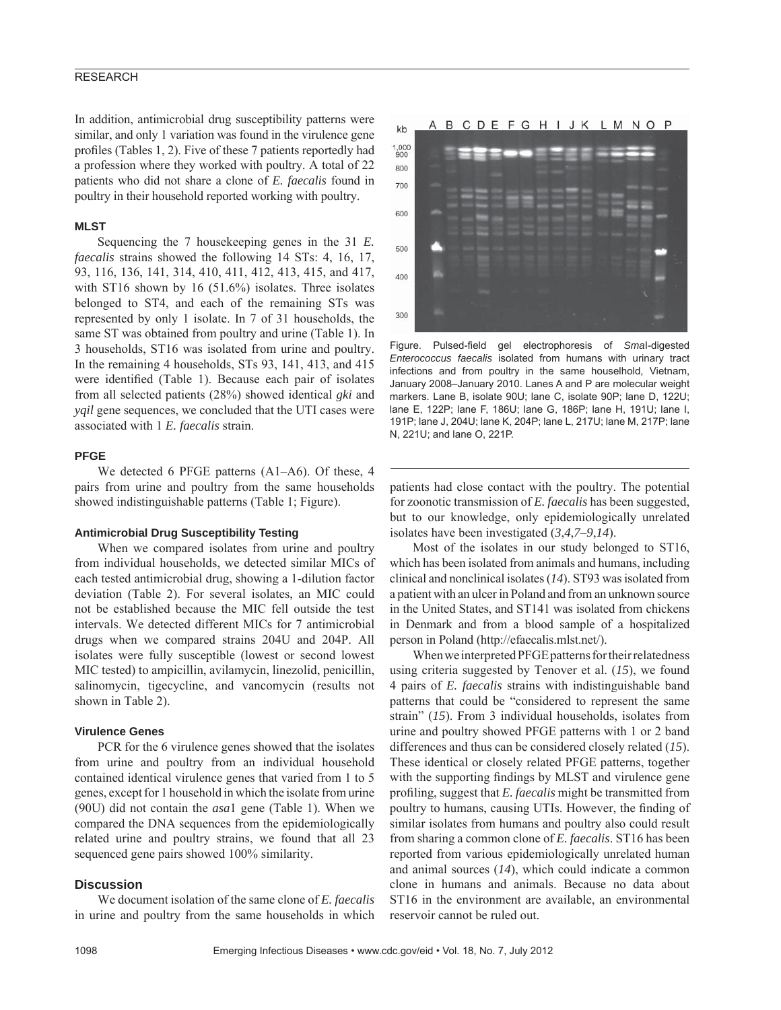## RESEARCH

In addition, antimicrobial drug susceptibility patterns were similar, and only 1 variation was found in the virulence gene profiles (Tables 1, 2). Five of these 7 patients reportedly had a profession where they worked with poultry. A total of 22 patients who did not share a clone of *E. faecalis* found in poultry in their household reported working with poultry.

## **MLST**

Sequencing the 7 housekeeping genes in the 31 *E. faecalis* strains showed the following 14 STs: 4, 16, 17, 93, 116, 136, 141, 314, 410, 411, 412, 413, 415, and 417, with ST16 shown by 16 (51.6%) isolates. Three isolates belonged to ST4, and each of the remaining STs was represented by only 1 isolate. In 7 of 31 households, the same ST was obtained from poultry and urine (Table 1). In 3 households, ST16 was isolated from urine and poultry. In the remaining 4 households, STs 93, 141, 413, and 415 were identified (Table 1). Because each pair of isolates from all selected patients (28%) showed identical *gki* and *yqil* gene sequences, we concluded that the UTI cases were associated with 1 *E. faecalis* strain.

## **PFGE**

We detected 6 PFGE patterns (A1–A6). Of these, 4 pairs from urine and poultry from the same households showed indistinguishable patterns (Table 1; Figure).

#### **Antimicrobial Drug Susceptibility Testing**

When we compared isolates from urine and poultry from individual households, we detected similar MICs of each tested antimicrobial drug, showing a 1-dilution factor deviation (Table 2). For several isolates, an MIC could not be established because the MIC fell outside the test intervals. We detected different MICs for 7 antimicrobial drugs when we compared strains 204U and 204P. All isolates were fully susceptible (lowest or second lowest MIC tested) to ampicillin, avilamycin, linezolid, penicillin, salinomycin, tigecycline, and vancomycin (results not shown in Table 2).

## **Virulence Genes**

PCR for the 6 virulence genes showed that the isolates from urine and poultry from an individual household contained identical virulence genes that varied from 1 to 5 genes, except for 1 household in which the isolate from urine (90U) did not contain the *asa*1 gene (Table 1). When we compared the DNA sequences from the epidemiologically related urine and poultry strains, we found that all 23 sequenced gene pairs showed 100% similarity.

## **Discussion**

We document isolation of the same clone of *E. faecalis* in urine and poultry from the same households in which



Figure. Pulsed-field gel electrophoresis of *Smal-digested Enterococcus faecalis* isolated from humans with urinary tract infections and from poultry in the same houselhold, Vietnam, January 2008–January 2010. Lanes A and P are molecular weight markers. Lane B, isolate 90U; lane C, isolate 90P; lane D, 122U; lane E, 122P; lane F, 186U; lane G, 186P; lane H, 191U; lane I, 191P; lane J, 204U; lane K, 204P; lane L, 217U; lane M, 217P; lane N, 221U; and lane O, 221P.

patients had close contact with the poultry. The potential for zoonotic transmission of *E. faecalis* has been suggested, but to our knowledge, only epidemiologically unrelated isolates have been investigated (*3*,*4*,*7*–*9*,*14*).

Most of the isolates in our study belonged to ST16, which has been isolated from animals and humans, including clinical and nonclinical isolates (*14*). ST93 was isolated from a patient with an ulcer in Poland and from an unknown source in the United States, and ST141 was isolated from chickens in Denmark and from a blood sample of a hospitalized person in Poland (http://efaecalis.mlst.net/).

When we interpreted PFGE patterns for their relatedness using criteria suggested by Tenover et al. (*15*), we found 4 pairs of *E. faecalis* strains with indistinguishable band patterns that could be "considered to represent the same strain" (*15*). From 3 individual households, isolates from urine and poultry showed PFGE patterns with 1 or 2 band differences and thus can be considered closely related (*15*). These identical or closely related PFGE patterns, together with the supporting findings by MLST and virulence gene profiling, suggest that *E. faecalis* might be transmitted from poultry to humans, causing UTIs. However, the finding of similar isolates from humans and poultry also could result from sharing a common clone of *E. faecalis*. ST16 has been reported from various epidemiologically unrelated human and animal sources (*14*), which could indicate a common clone in humans and animals. Because no data about ST16 in the environment are available, an environmental reservoir cannot be ruled out.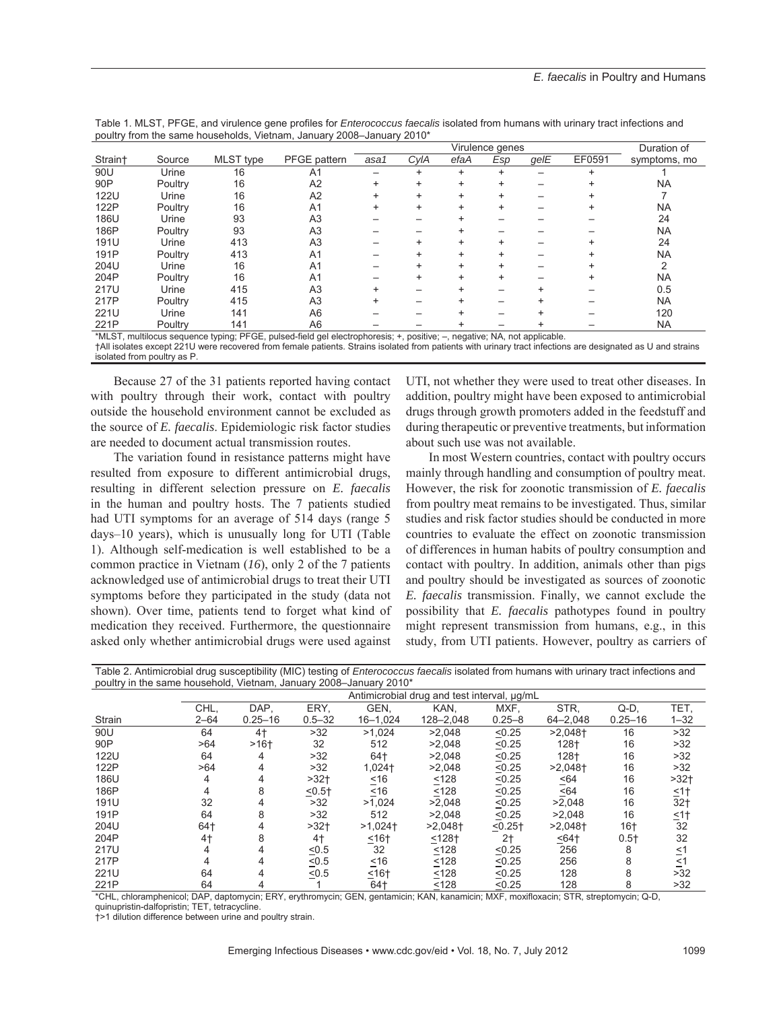|                                                                                                                          |         |           |                | Virulence genes |      |      |     |      |        | Duration of  |
|--------------------------------------------------------------------------------------------------------------------------|---------|-----------|----------------|-----------------|------|------|-----|------|--------|--------------|
| Strain+                                                                                                                  | Source  | MLST type | PFGE pattern   | asa1            | CylA | efaA | Esp | gelE | EF0591 | symptoms, mo |
| 90U                                                                                                                      | Urine   | 16        | A1             |                 |      | $+$  |     |      |        |              |
| 90P                                                                                                                      | Poultry | 16        | A <sub>2</sub> | $\ddot{}$       |      |      |     |      |        | <b>NA</b>    |
| <b>122U</b>                                                                                                              | Urine   | 16        | A <sub>2</sub> | $\ddot{}$       |      |      |     |      |        |              |
| 122P                                                                                                                     | Poultry | 16        | A <sub>1</sub> | +               |      |      |     |      |        | <b>NA</b>    |
| 186U                                                                                                                     | Urine   | 93        | A <sub>3</sub> |                 |      |      |     |      |        | 24           |
| 186P                                                                                                                     | Poultry | 93        | A <sub>3</sub> |                 |      |      |     |      |        | <b>NA</b>    |
| 191U                                                                                                                     | Urine   | 413       | A <sub>3</sub> |                 |      |      |     |      |        | 24           |
| 191P                                                                                                                     | Poultry | 413       | A <sub>1</sub> |                 |      |      |     |      |        | <b>NA</b>    |
| 204U                                                                                                                     | Urine   | 16        | A <sub>1</sub> |                 |      |      |     |      |        |              |
| 204P                                                                                                                     | Poultry | 16        | A <sub>1</sub> |                 |      |      |     |      |        | <b>NA</b>    |
| 217U                                                                                                                     | Urine   | 415       | A <sub>3</sub> |                 |      |      |     |      |        | 0.5          |
| 217P                                                                                                                     | Poultry | 415       | A <sub>3</sub> |                 |      |      |     |      |        | <b>NA</b>    |
| 221U                                                                                                                     | Urine   | 141       | A <sub>6</sub> |                 |      |      |     |      |        | 120          |
| 221P                                                                                                                     | Poultry | 141       | A <sub>6</sub> |                 |      |      |     |      |        | <b>NA</b>    |
| *MLST, multilocus sequence typing; PFGE, pulsed-field gel electrophoresis; +, positive; -, negative; NA, not applicable. |         |           |                |                 |      |      |     |      |        |              |

Table 1. MLST, PFGE, and virulence gene profiles for *Enterococcus faecalis* isolated from humans with urinary tract infections and poultry from the same households, Vietnam, January 2008–January 2010\*

†All isolates except 221U were recovered from female patients. Strains isolated from patients with urinary tract infections are designated as U and strains isolated from poultry as P.

Because 27 of the 31 patients reported having contact with poultry through their work, contact with poultry outside the household environment cannot be excluded as the source of *E. faecalis*. Epidemiologic risk factor studies are needed to document actual transmission routes.

The variation found in resistance patterns might have resulted from exposure to different antimicrobial drugs, resulting in different selection pressure on *E. faecalis* in the human and poultry hosts. The 7 patients studied had UTI symptoms for an average of 514 days (range 5 days–10 years), which is unusually long for UTI (Table 1). Although self-medication is well established to be a common practice in Vietnam (*16*), only 2 of the 7 patients acknowledged use of antimicrobial drugs to treat their UTI symptoms before they participated in the study (data not shown). Over time, patients tend to forget what kind of medication they received. Furthermore, the questionnaire asked only whether antimicrobial drugs were used against

UTI, not whether they were used to treat other diseases. In addition, poultry might have been exposed to antimicrobial drugs through growth promoters added in the feedstuff and during therapeutic or preventive treatments, but information about such use was not available.

In most Western countries, contact with poultry occurs mainly through handling and consumption of poultry meat. However, the risk for zoonotic transmission of *E. faecalis* from poultry meat remains to be investigated. Thus, similar studies and risk factor studies should be conducted in more countries to evaluate the effect on zoonotic transmission of differences in human habits of poultry consumption and contact with poultry. In addition, animals other than pigs and poultry should be investigated as sources of zoonotic *E. faecalis* transmission. Finally, we cannot exclude the possibility that *E. faecalis* pathotypes found in poultry might represent transmission from humans, e.g., in this study, from UTI patients. However, poultry as carriers of

Table 2. Antimicrobial drug susceptibility (MIC) testing of *Enterococcus faecalis* isolated from humans with urinary tract infections and poultry in the same household, Vietnam, January 2008–January 2010\*

|             | pounty in the same neasonoid, violitam, samaary |                                             |            | $-000$ variagely<br>$-\circ\cdot\circ$ |                       |                |                       |             |                           |  |  |  |
|-------------|-------------------------------------------------|---------------------------------------------|------------|----------------------------------------|-----------------------|----------------|-----------------------|-------------|---------------------------|--|--|--|
|             |                                                 | Antimicrobial drug and test interval, µg/mL |            |                                        |                       |                |                       |             |                           |  |  |  |
|             | CHL,                                            | DAP.                                        | ERY.       | GEN.                                   | KAN.                  | MXF.           | STR.                  | $Q-D$       | TET,                      |  |  |  |
| Strain      | $2 - 64$                                        | $0.25 - 16$                                 | $0.5 - 32$ | $16 - 1,024$                           | 128-2,048             | $0.25 - 8$     | 64-2,048              | $0.25 - 16$ | $1 - 32$                  |  |  |  |
| 90U         | 64                                              | $4+$                                        | >32        | >1,024                                 | >2.048                | < 0.25         | $>2,048$ <sup>+</sup> | 16          | >32                       |  |  |  |
| 90P         | >64                                             | $>16+$                                      | 32         | 512                                    | >2,048                | < 0.25         | 128+                  | 16          | >32                       |  |  |  |
| <b>122U</b> | 64                                              | 4                                           | >32        | 64†                                    | >2,048                | $\leq 0.25$    | 128+                  | 16          | >32                       |  |  |  |
| 122P        | >64                                             | 4                                           | >32        | 1,024+                                 | >2,048                | < 0.25         | $>2,048$ <sup>+</sup> | 16          | >32                       |  |  |  |
| 186U        | 4                                               | 4                                           | $>32+$     | $\leq 16$                              | ≤128                  | < 0.25         | $\leq 64$             | 16          | $>32+$                    |  |  |  |
| 186P        | 4                                               | 8                                           | $5 - 5$    | ~16                                    | < 128                 | < 0.25         | < 64                  | 16          | $\leq$ 1†                 |  |  |  |
| 191U        | 32                                              |                                             | >32        | >1,024                                 | >2,048                | < 0.25         | >2,048                | 16          | 32 <sub>†</sub>           |  |  |  |
| 191P        | 64                                              | 8                                           | >32        | 512                                    | >2,048                | < 0.25         | >2,048                | 16          | $\leq$ 1†                 |  |  |  |
| 204U        | 64†                                             |                                             | $>32+$     | $>1,024$ <sup>+</sup>                  | $>2,048$ <sup>+</sup> | $< 0.25 +$     | $>2,048$ <sup>+</sup> | $16+$       | 32                        |  |  |  |
| 204P        | 4†                                              | 8                                           | $4+$       | $16+$                                  | $5128 +$              | 2 <sub>1</sub> | 564                   | $0.5+$      | 32                        |  |  |  |
| 217U        |                                                 | 4                                           | $\leq 0.5$ | 32                                     | ≤128                  | < 0.25         | 256                   | 8           |                           |  |  |  |
| 217P        |                                                 | 4                                           | $\leq 0.5$ | $\leq 16$                              | < 128                 | < 0.25         | 256                   | 8           | $\frac{1}{2}$<br>$\leq 1$ |  |  |  |
| 221U        | 64                                              | 4                                           | < 0.5      | $16+$                                  | < 128                 | < 0.25         | 128                   | 8           | >32                       |  |  |  |
| 221P        | 64                                              |                                             |            | 64†                                    | < 128                 | < 0.25         | 128                   | 8           | >32                       |  |  |  |

\*CHL, chloramphenicol; DAP, daptomycin; ERY, erythromycin; GEN, gentamicin; KAN, kanamicin; MXF, moxifloxacin; STR, streptomycin; Q-D,

quinupristin-dalfopristin; TET, tetracycline.

†>1 dilution difference between urine and poultry strain.